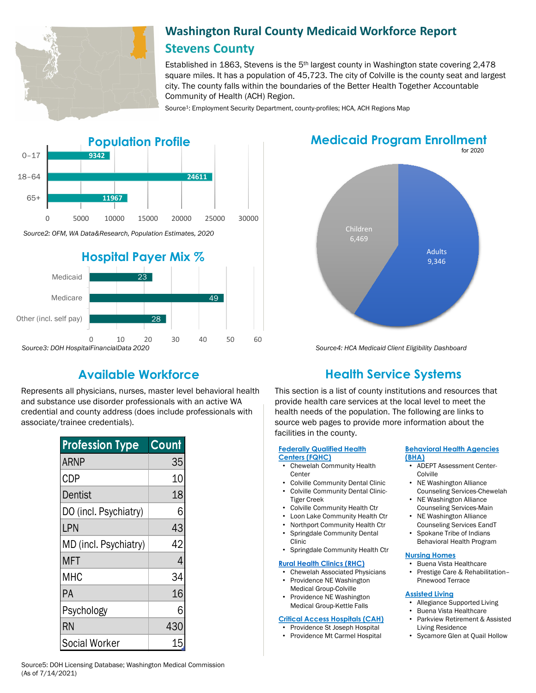

# **Washington Rural County Medicaid Workforce Report Stevens County**

Established in 1863, Stevens is the  $5<sup>th</sup>$  largest county in Washington state covering 2,478 square miles. It has a population of 45,723. The city of Colville is the county seat and largest city. The county falls within the boundaries of the Better Health Together Accountable Community of Health (ACH) Region.

Source<sup>1</sup>: Employment Security Department, county-profiles; HCA, ACH Regions Map





Represents all physicians, nurses, master level behavioral health and substance use disorder professionals with an active WA credential and county address (does include professionals with associate/trainee credentials).

| <b>Profession Type</b> | Count |
|------------------------|-------|
| <b>ARNP</b>            | 35    |
| <b>CDP</b>             | 10    |
| Dentist                | 18    |
| DO (incl. Psychiatry)  | 6     |
| LPN                    | 43    |
| MD (incl. Psychiatry)  | 42    |
| <b>MFT</b>             | 4     |
| MHC                    | 34    |
| РA                     | 16    |
| Psychology             | 6     |
| <b>RN</b>              | 430   |
| <b>Social Worker</b>   | 15    |

for 2020 **Medicaid Program Enrollment**



*Source4: HCA Medicaid Client Eligibility Dashboard*

# **Available Workforce Health Service Systems**

This section is a list of county institutions and resources that provide health care services at the local level to meet the health needs of the population. The following are links to source web pages to provide more information about the facilities in the county.

## **[Federally Qualified Health](https://www.wacommunityhealth.org/)**

- **Centers (FQHC)** • Chewelah Community Health
- **Center**
- Colville Community Dental Clinic
- Colville Community Dental Clinic-Tiger Creek
- Colville Community Health Ctr
- Loon Lake Community Health Ctr
- Northport Community Health Ctr
- Springdale Community Dental Clinic
- Springdale Community Health Ctr

#### **[Rural Health Clinics \(RHC\)](https://data.hrsa.gov/)**

- Chewelah Associated Physicians • Providence NE Washington Medical Group-Colville
- Providence NE Washington Medical Group-Kettle Falls

#### **[Critical Access Hospitals \(CAH\)](https://www.doh.wa.gov/ForPublicHealthandHealthcareProviders/RuralHealth/RuralHealthSystems)**

- Providence St Joseph Hospital
- Providence Mt Carmel Hospital

#### **[Behavioral Health Agencies](https://www.doh.wa.gov/LicensesPermitsandCertificates/ProviderCredentialSearch) (BHA)**

- ADEPT Assessment Center-Colville
- NE Washington Alliance Counseling Services-Chewelah
- **NE Washington Alliance** Counseling Services-Main
- NE Washington Alliance Counseling Services EandT
- Spokane Tribe of Indians Behavioral Health Program

#### **[Nursing Homes](https://fortress.wa.gov/dshs/adsaapps/lookup/NHPubLookup.aspx)**

• Buena Vista Healthcare • Prestige Care & Rehabilitation– Pinewood Terrace

#### **[Assisted Living](https://fortress.wa.gov/dshs/adsaapps/lookup/BHPubLookup.aspx)**

- Allegiance Supported Living
- Buena Vista Healthcare
- Parkview Retirement & Assisted Living Residence
- Sycamore Glen at Quail Hollow

Source5: DOH Licensing Database; Washington Medical Commission (As of 7/14/2021)